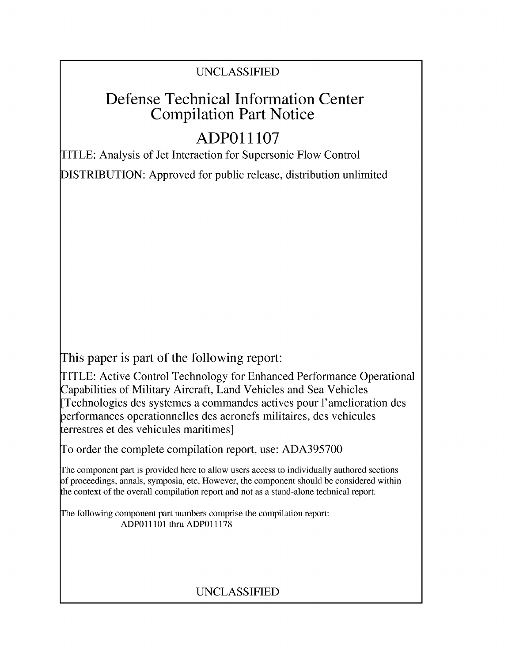## UNCLASSIFIED

# Defense Technical Information Center Compilation Part Notice

# **ADPO11107**

TITLE: Analysis of Jet Interaction for Supersonic Flow Control

DISTRIBUTION: Approved for public release, distribution unlimited

This paper is part of the following report:

TITLE: Active Control Technology for Enhanced Performance Operational Capabilities of Military Aircraft, Land Vehicles and Sea Vehicles [Technologies des systemes a commandes actives pour l'amelioration des erformances operationnelles des aeronefs militaires, des vehicules terrestres et des vehicules maritimes]

To order the complete compilation report, use: ADA395700

The component part is provided here to allow users access to individually authored sections f proceedings, annals, symposia, etc. However, the component should be considered within [he context of the overall compilation report and not as a stand-alone technical report.

The following component part numbers comprise the compilation report: ADPO11101 thru ADP011178

## UNCLASSIFIED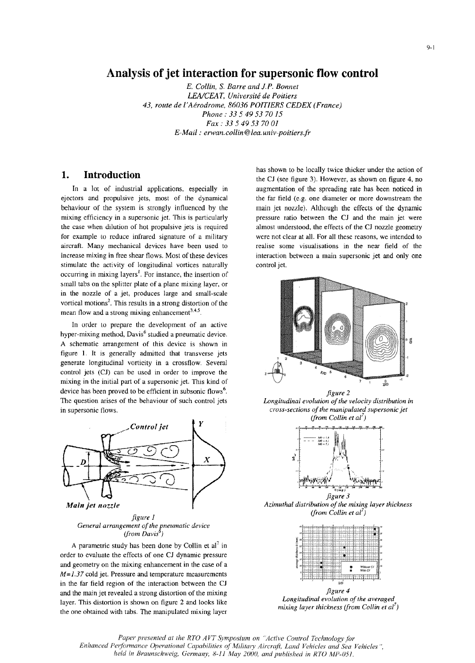## Analysis of jet interaction for supersonic flow control

*E. Collin, S. Barre and J. P. Bonnet* LEA/CEAT, Université de Poitiers *43, route de l'Adrodrome, 86036 POITIERS CEDEX (France) Phone: 33 5 49 53 70 15 Fax: 33 5 49 53 70 01 E-Mail: ervan. collin @lea. univ-poitiersffr*

### **Introduction**  $\mathbf{1}$ .

ejectors and propulsive jets, most of the dynamical the far field (e.g. one diameter or more downstream the behaviour of the system is strongly influenced by the main jet nozzle). Although the effects of the dynamic mixing efficiency in a supersonic jet. This is particularly pressure ratio between the CJ and the main jet were the case when dilution of hot propulsive jets is required almost understood, the effects of the **CI** nozzle geometry for example to reduce infrared signature of a military were not clear at all. For all these reasons, we intended to aircraft. Many mechanical devices have been used to realise some visualisations in the near field of the increase mixing in free shear flows. Most of these devices interaction between a main supersonic jet and only one stimulate the activity of longitudinal vortices naturally control jet. occurring in mixing layers'. For instance, the insertion of small tabs on the splitter plate of a plane mixing layer, or in the nozzle of a jet, produces large and small-scale vortical motions $2$ . This results in a strong distortion of the mean flow and a strong mixing enhancement<sup>3,4,5</sup>

In order to prepare the development of an active hyper-mixing method, Davis<sup>6</sup> studied a pneumatic device. A schematic arrangement of this device is shown in figure 1. It is generally admitted that transverse jets generate longitudinal vorticity in a crossflow. Several control jets (CJ) can be used in order to improve the mixing in the initial part of a supersonic jet. This kind of device has been proved to be efficient in subsonic flows<sup>6</sup>.<br> **6** *Longitudinal evolution of the velocity distribution in f* the velocity distribution in The question arises of the behaviour of such control jets in supersonic flows. *cross-sections of the manipulated supersonic jet*



General arrangement of the pneumatic device *(from Davis*

A parametric study has been done by Collin et  $al<sup>7</sup>$  in order to evaluate the effects of one **CJ** dynamic pressure and geometry on the mixing enhancement in the case of a *M*=1.37 cold jet. Pressure and temperature measurements in the far field region of the interaction between the CJ and the main jet revealed a strong distortion of the mixing *figure 4*<br> *Longitudinal evolution of the averaged*<br> *Longitudinal evolution of the averaged* layer. This distortion is shown on figure 2 and looks like *Longitudinal evolution of the averaged* the one obtained with tabs. The manipulated mixing layer

has shown to be locally twice thicker under the action of the CJ (see figure 3). However, as shown on figure 4, no In a lot of industrial applications, especially in augmentation of the spreading rate has been noticed in



*(from Collin et al<sup>7</sup>)* 



*figure 3*



Paper presented at the RTO AVT Symposium on "Active Control Technology for *Enhanced Performance Operational Capabilities of Military Aircraft, Land Vehicles and Sea Vehicles held in Braunschweig, Germany, 8-11 May 2000, and published in RTO MP-051.*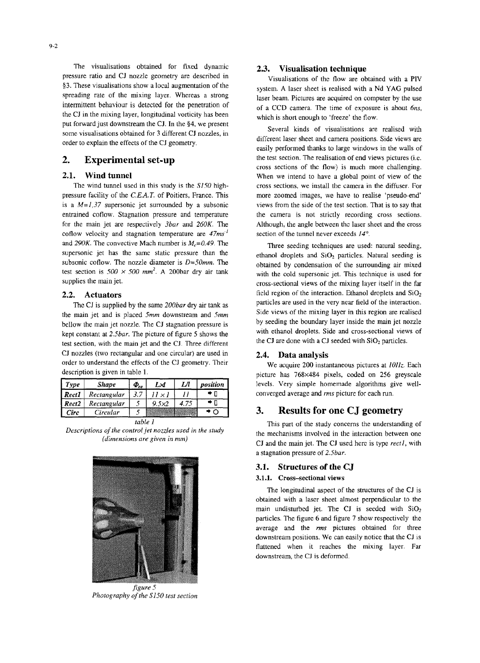The visualisations obtained for fixed dynamic **2.3.** Visualisation technique pressure ratio and CJ nozzle geometry are described in Visualisations of the flow are obtained with a PIV intermittent behaviour is detected for the penetration of of a CCD camera. The time of exposure is about *6ns*, the CJ in the mixing layer, longitudinal vorticity has been which is short enough to 'freeze' the flow. put forward just downstream the **C0.** In the §4, we present

pressure facility of the *C.E.A.T.* of Poitiers, France. This more zoomed images, we have to realise 'pseudo-end' is a  $M=1,37$  supersonic jet surrounded by a subsonic views from the side of the test section. That is to say that entrained coflow. Stagnation pressure and temperature the camera is not strictly recording cross sections. for the main jet are respectively *3bar* and *260K.* The Although, the angle between the laser sheet and the cross coflow velocity and stagnation temperature are  $47ms<sup>T</sup>$  section of the tunnel never exceeds  $14^{\circ}$ . and 290K. The convective Mach number is  $M_c = 0.49$ . The Three seeding techniques are used: natural seeding, supersonic jet has the same static pressure than the ethanol droplets and  $SiO<sub>2</sub>$  particles. Natural seeding is subsonic coflow. The nozzle diameter is  $D=50$ mm. The obtained by condensation of the surrounding air mixed test section is  $500 \times 500$  mm<sup>2</sup>. A 200bar dry air tank with the cold supersonic jet. This technique is used for

the main jet and is placed  $5mm$  downstream and  $5mm$ bellow the main jet nozzle. The CJ stagnation pressure is by seeding the boundary layer inside the main jet nozzle<br>kept constant at 2 Shar. The picture of figure 5 shows the with ethanol droplets. Side and cross-sectional kept constant at 2.5bar. The picture of figure 5 shows the test section, with the main jet and the CJ. Three different the CJ are done with a CJ seeded with SiO<sub>2</sub> particles. **CJ** nozzles (two rectangular and one circular) are used in 2.4. Data analysis order to understand the effects of the CJ geometry. Their We acquire 200 instantaneous pictures at *1011z*. Each

| Type    | Shape       | $\boldsymbol{\Phi}_{\!e\sigma}$ | L×l   | И | position |
|---------|-------------|---------------------------------|-------|---|----------|
| l Rect1 | Rectangular |                                 |       |   |          |
| Reci2   | Rectangular |                                 | 9.5x2 |   |          |
| Circ    | Circular    |                                 |       |   |          |



*Photography of the \$150 test section*

§3. These visualisations show a local augmentation of the system. A laser sheet is realised with a Nd YAG pulsed spreading rate of the mixing layer. Whereas a strong laser beam. Pictures are acquired on computer by the use

Several kinds of visualisations are realised with<br>some visualisations obtained for 3 different CJ nozzles, in<br>order to explain the effects of the CJ geometry.<br>easily performed thanks to large windows in the walls of 2. Experimental set-up the test section. The realisation of end views pictures (i.e. cross sections of the flow) is much more challenging. 2.1. Wind tunnel When we intend to have a global point of view of the The wind tunnel used in this study is the S150 high- cross sections, we install the camera in the diffuser. For

supplies the main jet. cross-sectional views of the mixing layer itself in the far 2.2. Actuators field region of the interaction. Ethanol droplets and  $SiO<sub>2</sub>$ <br>The CL is supplied by the same 200 bar dry air tank as particles are used in the very near field of the interaction. The CJ is supplied by the same 200bar dry air tank as particles are used in the very near field of the interaction.<br>Side views of the mixing layer in this region are realised

description is given in table 1.<br>
picture has 768×484 pixels, coded on 256 greyscale levels. Very simple homemade algorithms give well-*Reel Rectangular 3.7 11* **X I** *11* \* **0** converged average and *rms* picture for each run.

### **3.** Results for one **CJ** geometry

*table 1* **This part of the study concerns the understanding of** *Descriptions of the control jet nozzles used in the study* the mechanisms involved in the interaction between one *(dimensions are given in umm)* CJ and the main jet. The CJ used here is type *rectl,* with a stagnation pressure of *2.5bar.*

### **3.1.** Structures of the **CQ**

### 3.1.1. Cross-sectional views

The longitudinal aspect of the structures of the **CJ** is obtained with a laser sheet almost perpendicular to the main undisturbed jet. The CJ is seeded with SiO<sub>2</sub> particles. The figure 6 and figure 7 show respectively the average and the *rms* pictures obtained for three downstream positions. We can easily notice that the CJ is flattened when it reaches the mixing layer. Far downstream, the CJ is deformed.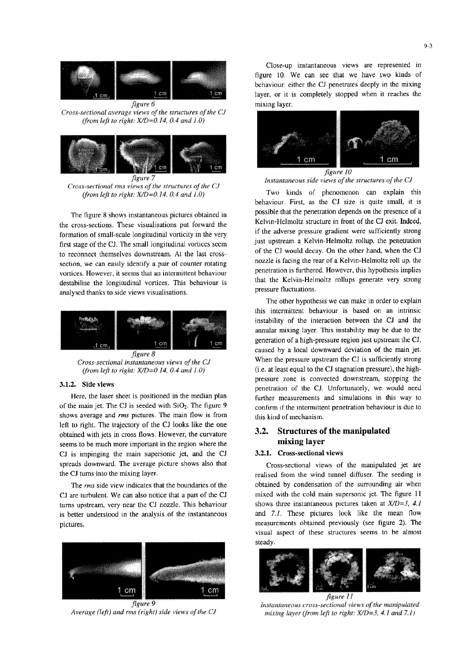



*figure 7*<br>*Cross-sectional rms views of the structures of the CJ* 

the cross-sections. These visualisations put forward the Kelvin-Helmoltz structure in front of the CJ exit. Indeed,<br>
if the adverse pressure gradient were sufficiently strong formation of small-scale longitudinal vorticity in the very if the adverse pressure gradient were sufficiently strong<br>first strong of the CI. The small longitudinal vortices seem in the upstream a Kelvin-Helmoltz rollup, t first stage of the CJ. The small longitudinal vortices seem just upstream a Kelvin-Helmoltz rollup, the penetration to receive the person of the CJ would decay. On the other hand, when the CJ to reconnect themselves downstream. At the last cross-<br>coation we can easily identify a pair of counter retating nozzle is facing the rear of a Kelvin-Helmoltz roll up, the section, we can easily identify a pair of counter rotating nozzle is facing the rear of a Kelvin-Helmoltz roll up, the<br>penetration is furthered. However, this hypothesis implies vortices. However, it seems that an intermittent behaviour penetration is furthered. However, this hypothesis implies<br>decelebration the longitudinal vertices. This hebeviour is that the Kelvin-Helmoltz rollups generate ver destabilise the longitudinal vortices. This behaviour is that the Kelvin-Helmonducture roller roller roller roller roller roller roller roller roller roller roller roller roller roller roller roller roller roller roller ro analysed thanks to side views visualisations.



shows average and *rms* pictures. The main flow is from this kind of mechanism. left to right. The trajectory of the CJ looks like the one obtained with jets in cross flows. However, the curvature **3.2. Structures of the manipulated**<br>seems to be much more important in the region where the mixing layer seems to be much more important in the region where the **CJ** is impinging the main supersonic jet, and the CJ 3.2.1. Cross-sectional views spreads downward. The average picture shows also that Cross-sectional views of the manipulated jet are

CJ are turbulent. We can also notice that a part of the CJ mixed with the cold main supersonic jet. The figure 11 turns upstream, very near the CJ nozzle. This behaviour shows three instantaneous pictures taken at *X/D=3, 4.1* is better understood in the analysis of the instantaneous and **7.1.** These pictures look like the mean flow pictures. measurements obtained previously (see figure 2). The



close-up instantaneous views are represented in figure **10.** We can see that we have two kinds of behaviour: either the CJ penetrates deeply in the mixing layer, or it is completely stopped when it reaches the mixing layer.



figure 7 *tsrantaneous side views of the structures o~f the CJ*

*(from left to right: XIWD=0,14, 0.4 and T,0)* Two kinds of phenomenon can explain this behaviour. First, as the CJ size is quite small, it is The figure 8 shows instantaneous pictures obtained in possible that the penetration depends on the presence of a<br>Kelvin-Helmoltz structure in front of the CJ exit. Indeed,

The other hypothesis we can make in order to explain this intermittent behaviour is based on an intrinsic instability of the interaction between the CJ and the annular mixing layer. This instability may be due to the generation of a high-pressure region just upstream the **CJ,** caused by a local downward deviation of the main jet. *Cross-sectional instantaneous views of the CJ* When the pressure upstream the CJ is sufficiently strong Cross-sectional instantaneous views of the CJ is sufficiently strong *(from left to right: X'D=O. 14, 0.4 and 1O)* (i.e. at least equal to the **CJ** stagnation pressure), the high-3.1.2. Side views **3.1.2.** Side views **pressure** zone is convected downstream, stopping the penetration of the **CJ.** Unfortunately, we would need Here, the laser sheet is positioned in the median plan further measurements and simulations in this way to of the main jet. The CJ is seeded with  $SiO_2$ . The figure 9 confirm if the intermittent penetration behaviour is due to

the CJ turns into the mixing layer. The seeding is realised from the wind tunnel diffuser. The seeding is The *rms* side view indicates that the boundaries of the obtained by condensation of the surrounding air when visual aspect of these structures seems to be almost steady.



*Average (left) and rms (right) side views of the CJ Instantaneous cross-sectional views of the manipulated*<br>Average (left) and rms (right) side views of the CJ *mixing layer (from left to right: X/D=3, 4.1 and 7.1)*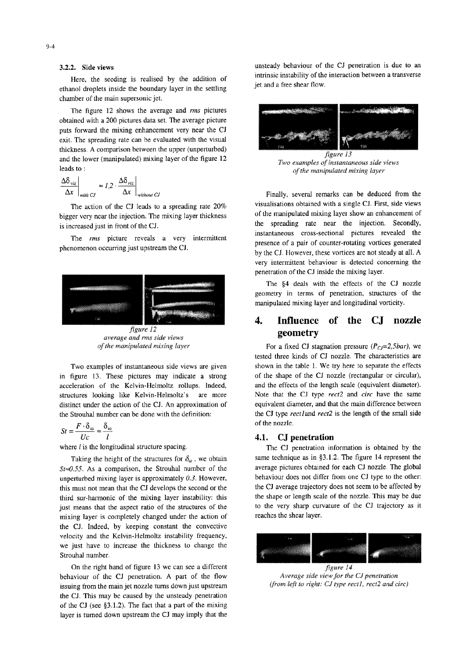Here, the seeding is realised by the addition of internsic instability of the interaction between a transverse interaction between a transverse interaction between a transverse interaction between  $\frac{d}{dt}$ ethanol droplets inside the boundary layer in the settling chamber of the main supersonic jet.

The figure 12 shows the average and *nns* pictures obtained with a 200 pictures data set. The average picture puts forward the mixing enhancement very near the CJ exit. The spreading rate can be evaluated with the visual thickness. A comparison between the upper (unperturbed) and the lower (manipulated) mixing layer of the figure 12<br>*Two examples of instantaneous side views Two examples of instantaneous side views* leads to: *ofthe manipulated mixing layer*

$$
\left.\frac{\Delta\delta_{\text{viz}}}{\Delta x}\right|_{\text{with } CJ} \approx I.2 \cdot \frac{\Delta\delta_{\text{viz}}}{\Delta x}\right|_{\text{without } CJ}
$$

bigger very near the injection. The mixing layer thickness is increased just in front of the CJ. the spreading rate near the injection. Secondly,



*average and rms side views* **geometry geometry** 

in figure 13. These pictures may indicate a strong of the shape of the CJ nozzle (rectangular or circular), acceleration of the Kelvin-Helmoltz rollups. Indeed, and the effects of the length scale (equivalent diameter).<br>
structures looking like Kelvin-Helmoltz's are more Note that the CJ type rect2 and circ have the same structures looking like Kelvin-Helmoltz's are more distinct under the action of the **CL.** An approximation of equivalent diameter, and that the main difference between the Strouhal number can be done with the definition: the **CJ** type *rectland reet2* is the length of the small side

$$
St = \frac{F \cdot \delta_{\omega}}{Uc} \approx \frac{\delta_{\omega}}{l}
$$
 of the nozzle  
4.1. **CJ**

 $St \approx 0.55$ . As a comparison, the Strouhal number of the average pictures obtained for each CJ nozzle. The global unperturbed mixing layer is approximately 0.3. However. unperturbed mixing layer is approximately  $0.3$ . However, behaviour does not differ from one CJ type to the other:<br>this must not mean that the CI develops the second or the  $\sum$  average trajectory does not seem to be affe this must not mean that the **CJ** develops the second or the the **CJ** average trajectory does not seem to be affected by third sur-harmonic of the mixing layer instability: this the shape or length scale of the nozzle. This third sur-harmonic of the mixing layer instability: this the shape or length scale of the nozzle. This may be due<br>inst means that the aspect ratio of the structures of the the very sharp curvature of the CJ trajectory as i just means that the aspect ratio of the structures of the mixing layer is completely changed under the action **of** reaches the shear layer. the **CJ.** Indeed, by keeping constant the convective velocity and the Kelvin-Helmoltz instability frequency, we just have to increase the thickness to change the Strouhal number.

On the right hand of figure 13 we can see a different behaviour of the **CJ** penetration. A part of the flow *Average side view for the CJ penetration*<br>issuing from the main jet nozzle turns down just unstream *(from left to right: CJ type rect1, rect2 and circ)* issuing from the main jet nozzle turns down just upstream the **CJ.** This may be caused by the unsteady penetration of the **CJ** (see §3.1.2). The fact that a part of the mixing layer is turned down upstream the **CJ** may imply that the

3.2.2. Side views<br>
3.2.2. Side views<br>  $\frac{1}{2}$ <br>  $\frac{1}{2}$ <br>  $\frac{1}{2}$ <br>  $\frac{1}{2}$ <br>  $\frac{1}{2}$ <br>  $\frac{1}{2}$ <br>  $\frac{1}{2}$ <br>  $\frac{1}{2}$ <br>  $\frac{1}{2}$ <br>  $\frac{1}{2}$ <br>  $\frac{1}{2}$ <br>  $\frac{1}{2}$ <br>  $\frac{1}{2}$ <br>  $\frac{1}{2}$ <br>  $\frac{1}{2}$ <br>  $\frac{1}{2}$ <br>  $\frac{1}{2}$ 



Finally, several remarks can be deduced from the The action of the CJ leads to a spreading rate 20% visualisations obtained with a single CJ. First, side views<br>The price of the manipulated mixing layer show an enhancement of The *rms* picture reveals a very intermittent instantaneous cross-sectional pictures revealed the phenomenon occurring just upstream the **CJ**. by the CJ. However, these vortices are not steady at all. A very intermittent behaviour is detected concerning the penetration of the **CJ** inside the mixing layer.

> The §4 deals with the effects of the **CJ** nozzle geometry in terms of penetration, structures of the manipulated mixing layer and longitudinal vorticity.

# 4. Influence of the **CJ** nozzle

*of the manipulated mixing layer* **For a fixed CJ stagnation pressure** *(Pcj=2,5bar),* **we** tested three kinds of CJ nozzle. The characteristics are Two examples of instantaneous side views are given shown in the table 1. We try here to separate the effects

### Uc *1* 4.1. **CJ** penetration

where *I* is the longitudinal structure spacing. The CJ penetration information is obtained by the Taking the height of the structures for  $\delta_{\omega}$ , we obtain same technique as in §3.1.2. The figure 14 represent the  $\alpha$  55. As a comparison, the Strouhal number of the average pictures obtained for each CJ nozzle. The g

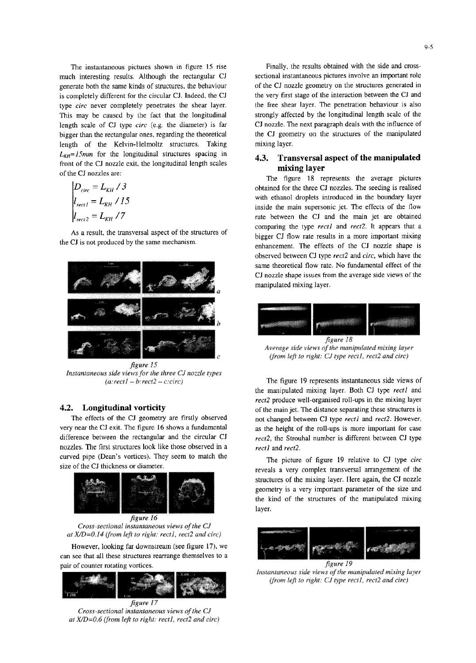much interesting results. Although the rectangular CJ sectional instantaneous pictures involve an important role generate both the same kinds of structures, the behaviour of the CJ nozzle geometry on the structures generat generate both the same kinds of structures, the behaviour is completely different for the circular CJ. Indeed, the CJ the very first stage of the interaction between the CJ and type *circ* never completely penetrates the shear layer. The penetration behaviour is also type *circ* never completely penetrates the shear layer. This may be caused by the fact that the longitudinal strongly affected by the longitudinal length scale of the length scale of CJ type *circ* (e.g. the diameter) is far **CJ** nozzle. The next paragraph deals with the influence of bigger than the rectangular ones, regarding the theoretical the CJ geometry on the structures of the man bigger than the rectangular ones, regarding the theoretical length of the Kelvin-Helmoltz structures. Taking mixing layer.  $L_{KH}$ =15mm for the longitudinal structures spacing in  $L_{KH}$ =15mm for the longitudinal structures spacing in<br>front of the CJ nozzle exit, the longitudinal length scales mixing layer of the CJ nozzles are:<br>The figure 18 represents the average pictures

$$
D_{circ} = L_{KH} / 3
$$
  
\n
$$
l_{rect1} = L_{KH} / 15
$$
  
\n
$$
l_{rect2} = L_{KH} / 7
$$

As a result, the transversal aspect of the structures of



*figare* I5 *Instantaneous side views* for ihe three *Ci nozzle types*

very near the CJ exit. The figure 16 shows a fundamental as the height of the roll-ups is more important for case difference between the rectangular and the circular **CJ** *rect2,* the Strouhal number is different between **CJ** type nozzles. The first structures look like those observed in a *rectl* and *rect2.* curved pipe (Dean's vortices). They seem to match the The picture of figure 19 relative to CJ type *circ* size of the CJ thickness or diameter.



*Cross-secuional instantaneous viewsoafthe C.J* at  $X/D = 0.14$  (from left to right: rect1, rect2 and circ)

However, looking far downstream (see figure 17), we can see that all these structures rearrange themselves to a pair of counter rotating vortices.<br>*•instantaneous side views of the manipulated mixing layer*<br>•*Instantaneous side views of the manipulated mixing layer* 



 $Cross-sectional$  instantaneous views of the CJ *at X/D=0.6 (from left to right: rect1, rect2 and circ)* 

The instantaneous pictures shown in figure 15 rise Finally, the results obtained with the side and cross-

obtained for the three CJ nozzles. The seeding is realised  $L_{\text{rect1}} = L_{\text{KH}} / 15$  with ethanol droplets introduced in the boundary layer<br>inside the main supersonic jet. The effects of the flow rate between the CJ and the main jet are obtained comparing the type *rectl* and *rect2.* **It** appears that a bigger CJ flow rate results in a more important mixing the CJ is not produced by the same mechanism.<br>enhancement. The effects of the CJ nozzle shape is observed between **CJ** type *rect2* and *circ,* which have the same theoretical flow rate. No fundamental effect of the CJ nozzle shape issues from the average side views of the manipulated mixing layer.



*(from left to right: CJ type rectl, rect2 and circ)* 

*(a: rect1 – b: rect2 – c:circ)* The figure 19 represents instantaneous side views of the manipulated mixing layer. Both CJ type *rectl* and *rect2* produce well-organised roll-ups in the mixing layer 4.2. Longitudinal vorticity of the main jet. The distance separating these structures is The effects of the CJ geometry are firstly observed not changed between **CJ** type *recti* and rect2. However,

> reveals a very complex transversal arrangement of the structures of the mixing layer. Here again, the CJ nozzle geometry is a very important parameter of the size and the kind of the structures of the manipulated mixing



*(from* left 1o *right.* CJ *type* ceetl, reet2 *and cite)*